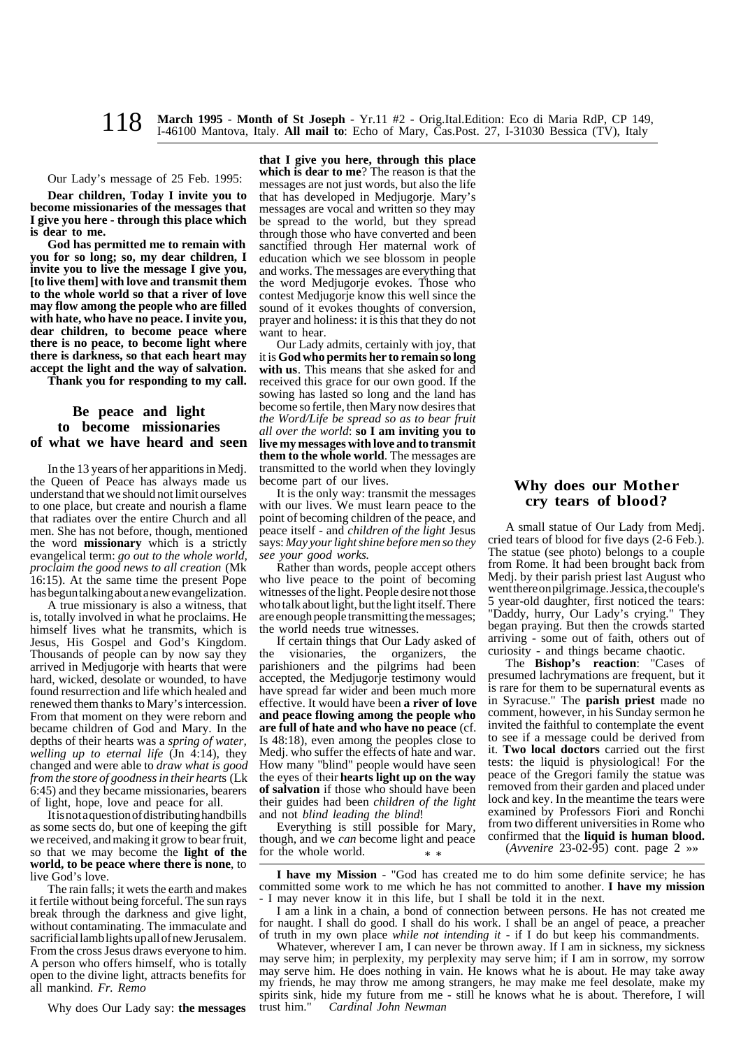**March 1995** - **Month of St Joseph** - Yr.11 #2 - Orig.Ital.Edition: Eco di Maria RdP, CP 149, I-46100 Mantova, Italy. **All mail to**: Echo of Mary, Cas.Post. 27, I-31030 Bessica (TV), Italy 118

# Our Lady's message of 25 Feb. 1995:

**Dear children, Today I invite you to become missionaries of the messages that I give you here - through this place which is dear to me.**

**God has permitted me to remain with you for so long; so, my dear children, I invite you to live the message I give you, [to live them] with love and transmit them to the whole world so that a river of love may flow among the people who are filled with hate, who have no peace. I invite you, dear children, to become peace where there is no peace, to become light where there is darkness, so that each heart may accept the light and the way of salvation.**

**Thank you for responding to my call.**

## **Be peace and light to become missionaries of what we have heard and seen**

In the 13 years of her apparitions in Medj. the Queen of Peace has always made us understand that we should not limit ourselves to one place, but create and nourish a flame that radiates over the entire Church and all men. She has not before, though, mentioned the word **missionary** which is a strictly evangelical term: *go out to the whole world, proclaim the good news to all creation* (Mk 16:15). At the same time the present Pope has begun talking about a new evangelization.

A true missionary is also a witness, that is, totally involved in what he proclaims. He himself lives what he transmits, which is Jesus, His Gospel and God's Kingdom. Thousands of people can by now say they arrived in Medjugorje with hearts that were hard, wicked, desolate or wounded, to have found resurrection and life which healed and renewed them thanks to Mary's intercession. From that moment on they were reborn and became children of God and Mary. In the depths of their hearts was a *spring of water, welling up to eternal life* (Jn 4:14), they changed and were able to *draw what is good from the store of goodness in their heart*s (Lk 6:45) and they became missionaries, bearers of light, hope, love and peace for all.

It is not a question of distributing handbills as some sects do, but one of keeping the gift we received, and making it grow to bear fruit, so that we may become the **light of the world, to be peace where there is none**, to live God's love.

The rain falls; it wets the earth and makes it fertile without being forceful. The sun rays break through the darkness and give light, without contaminating. The immaculate and sacrificial lamb lights up all of new Jerusalem. From the cross Jesus draws everyone to him. A person who offers himself, who is totally open to the divine light, attracts benefits for all mankind. *Fr. Remo*

Why does Our Lady say: **the messages**

**that I give you here, through this place which is dear to me**? The reason is that the messages are not just words, but also the life that has developed in Medjugorje. Mary's messages are vocal and written so they may be spread to the world, but they spread through those who have converted and been sanctified through Her maternal work of education which we see blossom in people and works. The messages are everything that the word Medjugorje evokes. Those who contest Medjugorje know this well since the sound of it evokes thoughts of conversion, prayer and holiness: it is this that they do not want to hear.

Our Lady admits, certainly with joy, that it is **God who permits her to remain so long with us**. This means that she asked for and received this grace for our own good. If the sowing has lasted so long and the land has become so fertile, then Mary now desires that *the Word/Life be spread so as to bear fruit all over the world*: **so I am inviting you to live my messages with love and to transmit them to the whole world**. The messages are transmitted to the world when they lovingly become part of our lives.

It is the only way: transmit the messages with our lives. We must learn peace to the point of becoming children of the peace, and peace itself - and *children of the light* Jesus says: *May your light shine before men so they see your good works.*

Rather than words, people accept others who live peace to the point of becoming witnesses of the light. People desire not those who talk about light, but the light itself. There are enough people transmitting the messages; the world needs true witnesses.

If certain things that Our Lady asked of the visionaries, the organizers, the parishioners and the pilgrims had been accepted, the Medjugorje testimony would have spread far wider and been much more effective. It would have been **a river of love and peace flowing among the people who are full of hate and who have no peace** (cf. Is 48:18), even among the peoples close to Medj. who suffer the effects of hate and war. How many "blind" people would have seen the eyes of their **hearts light up on the way of salvation** if those who should have been their guides had been *children of the light* and not *blind leading the blind*!

Everything is still possible for Mary, though, and we *can* become light and peace for the whole world. \* \*

# **Why does our Mother cry tears of blood?**

A small statue of Our Lady from Medj. cried tears of blood for five days (2-6 Feb.). The statue (see photo) belongs to a couple from Rome. It had been brought back from Medj. by their parish priest last August who went there on pilgrimage. Jessica, the couple's 5 year-old daughter, first noticed the tears: "Daddy, hurry, Our Lady's crying." They began praying. But then the crowds started arriving - some out of faith, others out of curiosity - and things became chaotic.

The **Bishop's reaction**: "Cases of presumed lachrymations are frequent, but it is rare for them to be supernatural events as in Syracuse." The **parish priest** made no comment, however, in his Sunday sermon he invited the faithful to contemplate the event to see if a message could be derived from it. **Two local doctors** carried out the first tests: the liquid is physiological! For the peace of the Gregori family the statue was removed from their garden and placed under lock and key. In the meantime the tears were examined by Professors Fiori and Ronchi from two different universities in Rome who confirmed that the **liquid is human blood.**

(*Avvenire* 23-02-95) cont. page 2 »»

**I have my Mission** - "God has created me to do him some definite service; he has committed some work to me which he has not committed to another. **I have my mission** I may never know it in this life, but I shall be told it in the next.

I am a link in a chain, a bond of connection between persons. He has not created me for naught. I shall do good. I shall do his work. I shall be an angel of peace, a preacher of truth in my own place *while not intending it* - if I do but keep his commandments.

Whatever, wherever I am, I can never be thrown away. If I am in sickness, my sickness may serve him; in perplexity, my perplexity may serve him; if I am in sorrow, my sorrow may serve him. He does nothing in vain. He knows what he is about. He may take away my friends, he may throw me among strangers, he may make me feel desolate, make my spirits sink, hide my future from me - still he knows what he is about. Therefore, I will trust him." Cardinal John Newman  $Cardinal John Newman$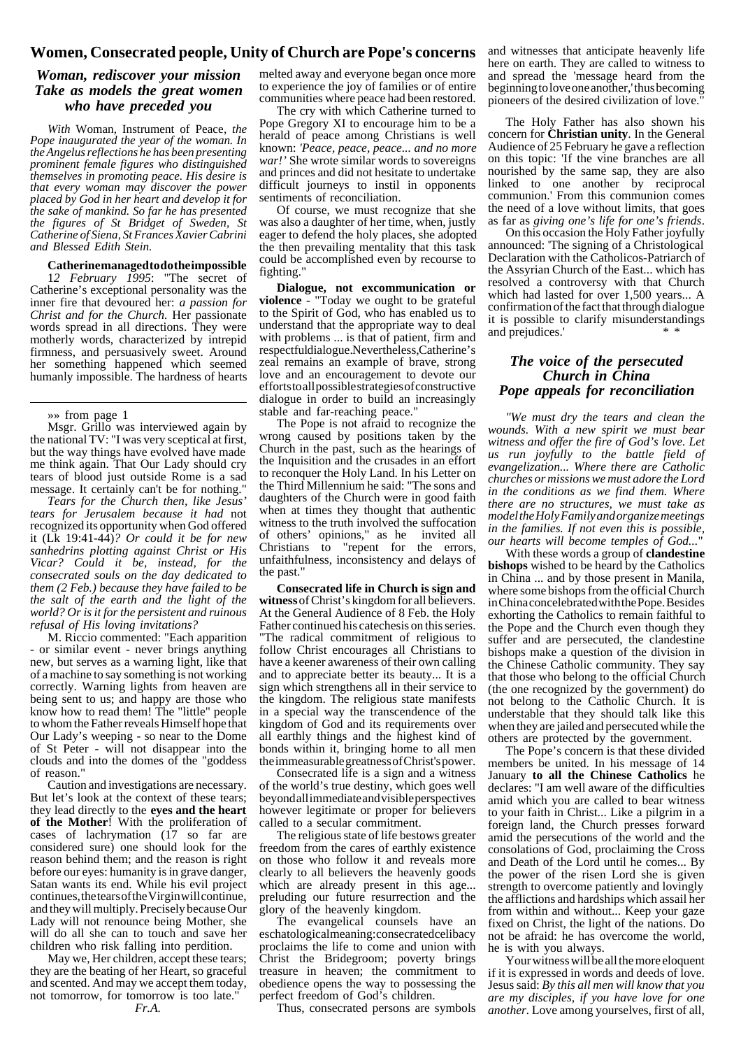## **Women, Consecrated people, Unity of Church are Pope's concerns**

# *Woman, rediscover your mission Take as models the great women who have preceded you*

*With* Woman, Instrument of Peace*, the Pope inaugurated the year of the woman. In the Angelus reflections he has been presenting prominent female figures who distinguished themselves in promoting peace. His desire is that every woman may discover the power placed by God in her heart and develop it for the sake of mankind. So far he has presented the figures of St Bridget of Sweden, St Catherine of Siena, St Frances Xavier Cabrini and Blessed Edith Stein.*

### **Catherine managed to do the impossible**

1*2 February 1995*: "The secret of Catherine's exceptional personality was the inner fire that devoured her: *a passion for Christ and for the Church.* Her passionate words spread in all directions. They were motherly words, characterized by intrepid firmness, and persuasively sweet. Around her something happened which seemed humanly impossible. The hardness of hearts

#### »» from page 1

Msgr. Grillo was interviewed again by the national TV: "I was very sceptical at first, but the way things have evolved have made me think again. That Our Lady should cry tears of blood just outside Rome is a sad message. It certainly can't be for nothing."

*Tears for the Church then, like Jesus' tears for Jerusalem because it had* not recognized its opportunity when God offered it (Lk 19:41-44)*? Or could it be for new sanhedrins plotting against Christ or His Vicar? Could it be, instead, for the consecrated souls on the day dedicated to them (2 Feb.) because they have failed to be the salt of the earth and the light of the world? Or is it for the persistent and ruinous refusal of His loving invitations?*

M. Riccio commented: "Each apparition - or similar event - never brings anything new, but serves as a warning light, like that of a machine to say something is not working correctly. Warning lights from heaven are being sent to us; and happy are those who know how to read them! The "little" people to whom the Father reveals Himself hope that Our Lady's weeping - so near to the Dome of St Peter - will not disappear into the clouds and into the domes of the "goddess of reason."

Caution and investigations are necessary. But let's look at the context of these tears; they lead directly to the **eyes and the heart of the Mother**! With the proliferation of cases of lachrymation (17 so far are considered sure) one should look for the reason behind them; and the reason is right before our eyes: humanity is in grave danger, Satan wants its end. While his evil project continues, the tears of the Virgin will continue, and they will multiply. Precisely because Our Lady will not renounce being Mother, she will do all she can to touch and save her children who risk falling into perdition.

May we, Her children, accept these tears; they are the beating of her Heart, so graceful and scented. And may we accept them today, not tomorrow, for tomorrow is too late."

*Fr.A.*

melted away and everyone began once more to experience the joy of families or of entire communities where peace had been restored.

The cry with which Catherine turned to Pope Gregory XI to encourage him to be a herald of peace among Christians is well known: *'Peace, peace, peace... and no more war!'* She wrote similar words to sovereigns and princes and did not hesitate to undertake difficult journeys to instil in opponents sentiments of reconciliation.

Of course, we must recognize that she was also a daughter of her time, when, justly eager to defend the holy places, she adopted the then prevailing mentality that this task could be accomplished even by recourse to fighting.

**Dialogue, not excommunication or violence** - "Today we ought to be grateful to the Spirit of God, who has enabled us to understand that the appropriate way to deal with problems ... is that of patient, firm and respectful dialogue. Nevertheless, Catherine's zeal remains an example of brave, strong love and an encouragement to devote our efforts to all possible strategies of constructive dialogue in order to build an increasingly stable and far-reaching peace.

The Pope is not afraid to recognize the wrong caused by positions taken by the Church in the past, such as the hearings of the Inquisition and the crusades in an effort to reconquer the Holy Land. In his Letter on the Third Millennium he said: "The sons and daughters of the Church were in good faith when at times they thought that authentic witness to the truth involved the suffocation of others' opinions," as he invited all Christians to "repent for the errors, unfaithfulness, inconsistency and delays of the past."

**Consecrated life in Church is sign and witness** of Christ's kingdom for all believers. At the General Audience of 8 Feb. the Holy Father continued his catechesis on this series. "The radical commitment of religious to follow Christ encourages all Christians to have a keener awareness of their own calling and to appreciate better its beauty... It is a sign which strengthens all in their service to the kingdom. The religious state manifests in a special way the transcendence of the kingdom of God and its requirements over all earthly things and the highest kind of bonds within it, bringing home to all men the immeasurable greatness of Christ's power.

Consecrated life is a sign and a witness of the world's true destiny, which goes well beyond all immediate and visible perspectives however legitimate or proper for believers called to a secular commitment.

The religious state of life bestows greater freedom from the cares of earthly existence on those who follow it and reveals more clearly to all believers the heavenly goods which are already present in this age... preluding our future resurrection and the glory of the heavenly kingdom.

The evangelical counsels have an eschatological meaning: consecrated celibacy proclaims the life to come and union with Christ the Bridegroom; poverty brings treasure in heaven; the commitment to obedience opens the way to possessing the perfect freedom of God's children.

Thus, consecrated persons are symbols

and witnesses that anticipate heavenly life here on earth. They are called to witness to and spread the 'message heard from the beginning to love one another,' thus becoming pioneers of the desired civilization of love."

The Holy Father has also shown his concern for **Christian unity**. In the General Audience of 25 February he gave a reflection on this topic: 'If the vine branches are all nourished by the same sap, they are also linked to one another by reciprocal communion.' From this communion comes the need of a love without limits, that goes as far as *giving one's life for one's friends*.

On this occasion the Holy Father joyfully announced: 'The signing of a Christological Declaration with the Catholicos-Patriarch of the Assyrian Church of the East... which has resolved a controversy with that Church which had lasted for over 1,500 years... A confirmation of the fact that through dialogue it is possible to clarify misunderstandings and prejudices.'

## *The voice of the persecuted Church in China Pope appeals for reconciliation*

*"We must dry the tears and clean the wounds. With a new spirit we must bear witness and offer the fire of God's love. Let us run joyfully to the battle field of evangelization... Where there are Catholic churches or missions we must adore the Lord in the conditions as we find them. Where there are no structures, we must take as model the Holy Family and organize meetings in the families. If not even this is possible, our hearts will become temples of God...*"

With these words a group of **clandestine bishops** wished to be heard by the Catholics in China ... and by those present in Manila, where some bishops from the official Church in China concelebrated with the Pope. Besides exhorting the Catholics to remain faithful to the Pope and the Church even though they suffer and are persecuted, the clandestine bishops make a question of the division in the Chinese Catholic community. They say that those who belong to the official Church (the one recognized by the government) do not belong to the Catholic Church. It is understable that they should talk like this when they are jailed and persecuted while the others are protected by the government.

The Pope's concern is that these divided members be united. In his message of 14 January **to all the Chinese Catholics** he declares: "I am well aware of the difficulties amid which you are called to bear witness to your faith in Christ... Like a pilgrim in a foreign land, the Church presses forward amid the persecutions of the world and the consolations of God, proclaiming the Cross and Death of the Lord until he comes... By the power of the risen Lord she is given strength to overcome patiently and lovingly the afflictions and hardships which assail her from within and without... Keep your gaze fixed on Christ, the light of the nations. Do not be afraid: he has overcome the world, he is with you always.

Your witness will be all the more eloquent if it is expressed in words and deeds of love. Jesus said: *By this all men will know that you are my disciples, if you have love for one another.* Love among yourselves, first of all,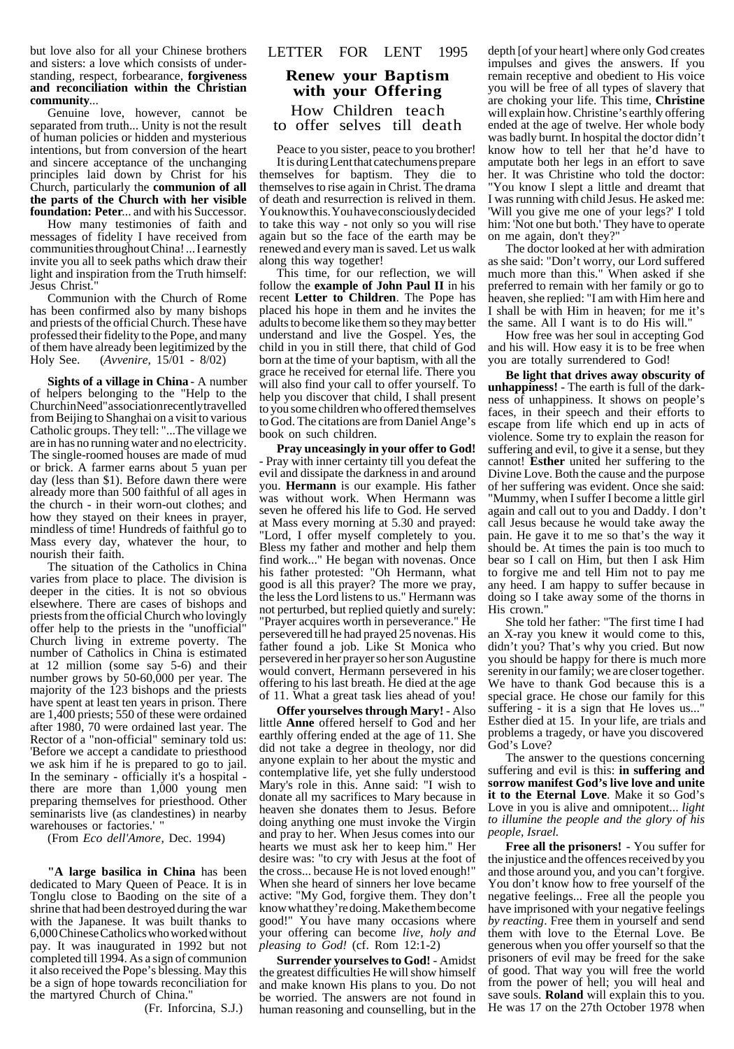but love also for all your Chinese brothers and sisters: a love which consists of understanding, respect, forbearance, **forgiveness and reconciliation within the Christian community**...

Genuine love, however, cannot be separated from truth... Unity is not the result of human policies or hidden and mysterious intentions, but from conversion of the heart and sincere acceptance of the unchanging principles laid down by Christ for his Church, particularly the **communion of all the parts of the Church with her visible foundation: Peter**... and with his Successor.

How many testimonies of faith and messages of fidelity I have received from communities throughout China! ... I earnestly invite you all to seek paths which draw their light and inspiration from the Truth himself: Jesus Christ."

Communion with the Church of Rome has been confirmed also by many bishops and priests of the official Church. These have professed their fidelity to the Pope, and many of them have already been legitimized by the Holy See. (*Avvenire*, 15/01 - 8/02)

**Sights of a village in China** - A number of helpers belonging to the "Help to the Churchin Need" association recently travelled from Beijing to Shanghai on a visit to various Catholic groups. They tell: "...The village we are in has no running water and no electricity. The single-roomed houses are made of mud or brick. A farmer earns about 5 yuan per day (less than \$1). Before dawn there were already more than 500 faithful of all ages in the church - in their worn-out clothes; and how they stayed on their knees in prayer, mindless of time! Hundreds of faithful go to Mass every day, whatever the hour, to nourish their faith.

The situation of the Catholics in China varies from place to place. The division is deeper in the cities. It is not so obvious elsewhere. There are cases of bishops and priests from the official Church who lovingly offer help to the priests in the "unofficial" Church living in extreme poverty. The number of Catholics in China is estimated at 12 million (some say 5-6) and their number grows by 50-60,000 per year. The majority of the 123 bishops and the priests have spent at least ten years in prison. There are 1,400 priests; 550 of these were ordained after 1980, 70 were ordained last year. The Rector of a "non-official" seminary told us: 'Before we accept a candidate to priesthood we ask him if he is prepared to go to jail. In the seminary - officially it's a hospital there are more than 1,000 young men preparing themselves for priesthood. Other seminarists live (as clandestines) in nearby warehouses or factories.'

(From *Eco dell'Amore*, Dec. 1994)

**"A large basilica in China** has been dedicated to Mary Queen of Peace. It is in Tonglu close to Baoding on the site of a shrine that had been destroyed during the war with the Japanese. It was built thanks to 6,000 Chinese Catholics who worked without pay. It was inaugurated in 1992 but not completed till 1994. As a sign of communion it also received the Pope's blessing. May this be a sign of hope towards reconciliation for the martyred Church of China."

(Fr. Inforcina, S.J.)

### LETTER FOR LENT 1995

# **Renew your Baptism with your Offering** How Children teach to offer selves till death

Peace to you sister, peace to you brother! It is during Lent that catechumens prepare themselves for baptism. They die to themselves to rise again in Christ. The drama of death and resurrection is relived in them. You know this. You have consciously decided to take this way - not only so you will rise again but so the face of the earth may be renewed and every man is saved. Let us walk along this way together!

This time, for our reflection, we will follow the **example of John Paul II** in his recent **Letter to Children**. The Pope has placed his hope in them and he invites the adults to become like them so they may better understand and live the Gospel. Yes, the child in you in still there, that child of God born at the time of your baptism, with all the grace he received for eternal life. There you will also find your call to offer yourself. To help you discover that child, I shall present to you some children who offered themselves to God. The citations are from Daniel Ange's book on such children.

**Pray unceasingly in your offer to God!** - Pray with inner certainty till you defeat the evil and dissipate the darkness in and around you. **Hermann** is our example. His father was without work. When Hermann was seven he offered his life to God. He served at Mass every morning at 5.30 and prayed: "Lord, I offer myself completely to you. Bless my father and mother and help them find work..." He began with novenas. Once his father protested: "Oh Hermann, what good is all this prayer? The more we pray, the less the Lord listens to us." Hermann was not perturbed, but replied quietly and surely: "Prayer acquires worth in perseverance." He persevered till he had prayed 25 novenas. His father found a job. Like St Monica who persevered in her prayer so her son Augustine would convert, Hermann persevered in his offering to his last breath. He died at the age of 11. What a great task lies ahead of you!

**Offer yourselves through Mary!** - Also little **Anne** offered herself to God and her earthly offering ended at the age of 11. She did not take a degree in theology, nor did anyone explain to her about the mystic and contemplative life, yet she fully understood Mary's role in this. Anne said: "I wish to donate all my sacrifices to Mary because in heaven she donates them to Jesus. Before doing anything one must invoke the Virgin and pray to her. When Jesus comes into our hearts we must ask her to keep him." Her desire was: "to cry with Jesus at the foot of the cross... because He is not loved enough!" When she heard of sinners her love became active: "My God, forgive them. They don't know what they're doing. Make them become good!" You have many occasions where your offering can become *live, holy and pleasing to God!* (cf. Rom 12:1-2)

**Surrender yourselves to God!** - Amidst the greatest difficulties He will show himself and make known His plans to you. Do not be worried. The answers are not found in human reasoning and counselling, but in the

depth [of your heart] where only God creates impulses and gives the answers. If you remain receptive and obedient to His voice you will be free of all types of slavery that are choking your life. This time, **Christine** will explain how. Christine's earthly offering ended at the age of twelve. Her whole body was badly burnt. In hospital the doctor didn't know how to tell her that he'd have to amputate both her legs in an effort to save her. It was Christine who told the doctor: "You know I slept a little and dreamt that I was running with child Jesus. He asked me: 'Will you give me one of your legs?' I told him: 'Not one but both.' They have to operate on me again, don't they?"

The doctor looked at her with admiration as she said: "Don't worry, our Lord suffered much more than this." When asked if she preferred to remain with her family or go to heaven, she replied: "I am with Him here and I shall be with Him in heaven; for me it's the same. All I want is to do His will."

How free was her soul in accepting God and his will. How easy it is to be free when you are totally surrendered to God!

**Be light that drives away obscurity of unhappiness!** - The earth is full of the darkness of unhappiness. It shows on people's faces, in their speech and their efforts to escape from life which end up in acts of violence. Some try to explain the reason for suffering and evil, to give it a sense, but they cannot! **Esther** united her suffering to the Divine Love. Both the cause and the purpose of her suffering was evident. Once she said: "Mummy, when I suffer I become a little girl again and call out to you and Daddy. I don't call Jesus because he would take away the pain. He gave it to me so that's the way it should be. At times the pain is too much to bear so I call on Him, but then I ask Him to forgive me and tell Him not to pay me any heed. I am happy to suffer because in doing so I take away some of the thorns in His crown."

She told her father: "The first time I had an X-ray you knew it would come to this, didn't you? That's why you cried. But now you should be happy for there is much more serenity in our family; we are closer together. We have to thank God because this is a special grace. He chose our family for this suffering - it is a sign that He loves us... Esther died at 15. In your life, are trials and problems a tragedy, or have you discovered God's Love?

The answer to the questions concerning suffering and evil is this: **in suffering and sorrow manifest God's live love and unite it to the Eternal Love**. Make it so God's Love in you is alive and omnipotent... *light to illumine the people and the glory of his people, Israel.*

**Free all the prisoners!** - You suffer for the injustice and the offences received by you and those around you, and you can't forgive. You don't know how to free yourself of the negative feelings... Free all the people you have imprisoned with your negative feelings *by reacting*. Free them in yourself and send them with love to the Eternal Love. Be generous when you offer yourself so that the prisoners of evil may be freed for the sake of good. That way you will free the world from the power of hell; you will heal and save souls. **Roland** will explain this to you. He was 17 on the 27th October 1978 when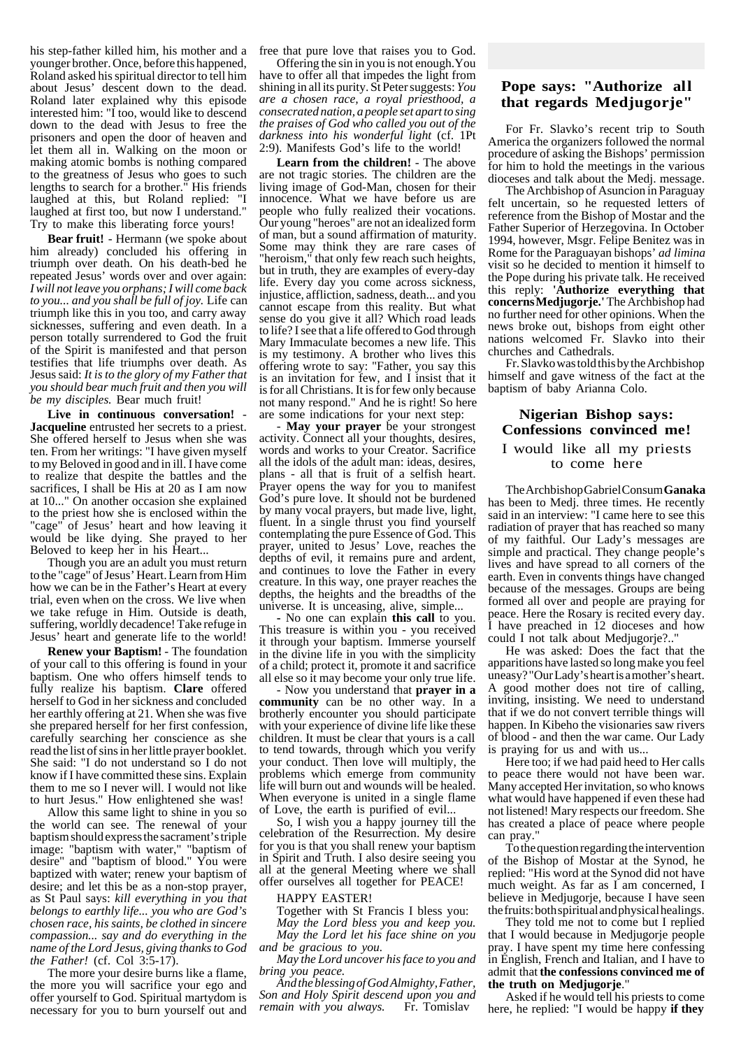his step-father killed him, his mother and a younger brother. Once, before this happened, Roland asked his spiritual director to tell him about Jesus' descent down to the dead. Roland later explained why this episode interested him: "I too, would like to descend down to the dead with Jesus to free the prisoners and open the door of heaven and let them all in. Walking on the moon or making atomic bombs is nothing compared to the greatness of Jesus who goes to such lengths to search for a brother." His friends laughed at this, but Roland replied: "I laughed at first too, but now I understand." Try to make this liberating force yours!

**Bear fruit!** - Hermann (we spoke about him already) concluded his offering in triumph over death. On his death-bed he repeated Jesus' words over and over again: *I will not leave you orphans; I will come back to you... and you shall be full of joy.* Life can triumph like this in you too, and carry away sicknesses, suffering and even death. In a person totally surrendered to God the fruit of the Spirit is manifested and that person testifies that life triumphs over death. As Jesus said: *It is to the glory of my Father that you should bear much fruit and then you will be my disciples.* Bear much fruit!

**Live in continuous conversation!** - **Jacqueline** entrusted her secrets to a priest. She offered herself to Jesus when she was ten. From her writings: "I have given myself to my Beloved in good and in ill. I have come to realize that despite the battles and the sacrifices, I shall be His at 20 as I am now at 10..." On another occasion she explained to the priest how she is enclosed within the "cage" of Jesus' heart and how leaving it would be like dying. She prayed to her Beloved to keep her in his Heart...

Though you are an adult you must return to the "cage" of Jesus' Heart. Learn from Him how we can be in the Father's Heart at every trial, even when on the cross. We live when we take refuge in Him. Outside is death, suffering, worldly decadence! Take refuge in Jesus' heart and generate life to the world!

**Renew your Baptism!** - The foundation of your call to this offering is found in your baptism. One who offers himself tends to fully realize his baptism. **Clare** offered herself to God in her sickness and concluded her earthly offering at 21. When she was five she prepared herself for her first confession, carefully searching her conscience as she read the list of sins in her little prayer booklet. She said: "I do not understand so I do not know if I have committed these sins. Explain them to me so I never will. I would not like to hurt Jesus." How enlightened she was!

Allow this same light to shine in you so the world can see. The renewal of your baptism should express the sacrament's triple image: "baptism with water," "baptism of desire" and "baptism of blood." You were baptized with water; renew your baptism of desire; and let this be as a non-stop prayer, as St Paul says: *kill everything in you that belongs to earthly life... you who are God's chosen race, his saints, be clothed in sincere compassion... say and do everything in the name of the Lord Jesus, giving thanks to God the Father!* (cf. Col 3:5-17).

The more your desire burns like a flame, the more you will sacrifice your ego and offer yourself to God. Spiritual martydom is necessary for you to burn yourself out and

free that pure love that raises you to God.

Offering the sin in you is not enough.You have to offer all that impedes the light from shining in all its purity. St Peter suggests: *You are a chosen race, a royal priesthood, a consecrated nation, a people set apart to sing the praises of God who called you out of the darkness into his wonderful light* (cf. 1Pt 2:9). Manifests God's life to the world!

**Learn from the children!** - The above are not tragic stories. The children are the living image of God-Man, chosen for their innocence. What we have before us are people who fully realized their vocations. Our young "heroes" are not an idealized form of man, but a sound affirmation of maturity. Some may think they are rare cases of "heroism," that only few reach such heights, but in truth, they are examples of every-day life. Every day you come across sickness, injustice, affliction, sadness, death... and you cannot escape from this reality. But what sense do you give it all? Which road leads to life? I see that a life offered to God through Mary Immaculate becomes a new life. This is my testimony. A brother who lives this offering wrote to say: "Father, you say this is an invitation for few, and I insist that it is for all Christians. It is for few only because not many respond." And he is right! So here are some indications for your next step:

May your prayer be your strongest activity. Connect all your thoughts, desires, words and works to your Creator. Sacrifice all the idols of the adult man: ideas, desires, plans - all that is fruit of a selfish heart. Prayer opens the way for you to manifest God's pure love. It should not be burdened by many vocal prayers, but made live, light, fluent. In a single thrust you find yourself contemplating the pure Essence of God. This prayer, united to Jesus' Love, reaches the depths of evil, it remains pure and ardent, and continues to love the Father in every creature. In this way, one prayer reaches the depths, the heights and the breadths of the universe. It is unceasing, alive, simple...

**-** No one can explain **this call** to you. This treasure is within you - you received it through your baptism. Immerse yourself in the divine life in you with the simplicity of a child; protect it, promote it and sacrifice all else so it may become your only true life.

- Now you understand that **prayer in a community** can be no other way. In a brotherly encounter you should participate with your experience of divine life like these children. It must be clear that yours is a call to tend towards, through which you verify your conduct. Then love will multiply, the problems which emerge from community life will burn out and wounds will be healed. When everyone is united in a single flame of Love, the earth is purified of evil...

So, I wish you a happy journey till the celebration of the Resurrection. My desire for you is that you shall renew your baptism in Spirit and Truth. I also desire seeing you all at the general Meeting where we shall offer ourselves all together for PEACE!

### HAPPY EASTER!

Together with St Francis I bless you: *May the Lord bless you and keep you. May the Lord let his face shine on you and be gracious to you.*

*May the Lord uncover his face to you and bring you peace.*

*And the blessing of God Almighty, Father, Son and Holy Spirit descend upon you and remain with you always.* 

# **Pope says: "Authorize all that regards Medjugorje"**

For Fr. Slavko's recent trip to South America the organizers followed the normal procedure of asking the Bishops' permission for him to hold the meetings in the various dioceses and talk about the Medj. message.

The Archbishop of Asuncion in Paraguay felt uncertain, so he requested letters of reference from the Bishop of Mostar and the Father Superior of Herzegovina. In October 1994, however, Msgr. Felipe Benitez was in Rome for the Paraguayan bishops' *ad limina* visit so he decided to mention it himself to the Pope during his private talk. He received this reply: **'Authorize everything that concerns Medjugorje.'** The Archbishop had no further need for other opinions. When the news broke out, bishops from eight other nations welcomed Fr. Slavko into their churches and Cathedrals.

Fr. Slavko was told this by the Archbishop himself and gave witness of the fact at the baptism of baby Arianna Colo.

# **Nigerian Bishop says: Confessions convinced me!** I would like all my priests to come here

The Archbishop Gabriel Consum **Ganaka** has been to Medj. three times. He recently said in an interview: "I came here to see this radiation of prayer that has reached so many of my faithful. Our Lady's messages are simple and practical. They change people's lives and have spread to all corners of the earth. Even in convents things have changed because of the messages. Groups are being formed all over and people are praying for peace. Here the Rosary is recited every day. I have preached in 12 dioceses and how could I not talk about Medjugorje?.."

He was asked: Does the fact that the apparitions have lasted so long make you feel uneasy? "Our Lady's heart is a mother's heart. A good mother does not tire of calling, inviting, insisting. We need to understand that if we do not convert terrible things will happen. In Kibeho the visionaries saw rivers of blood - and then the war came. Our Lady is praying for us and with us...

Here too; if we had paid heed to Her calls to peace there would not have been war. Many accepted Her invitation, so who knows what would have happened if even these had not listened! Mary respects our freedom. She has created a place of peace where people can pray."

To the question regarding the intervention of the Bishop of Mostar at the Synod, he replied: "His word at the Synod did not have much weight. As far as I am concerned, I believe in Medjugorje, because I have seen the fruits: both spiritual and physical healings.

They told me not to come but I replied that I would because in Medjugorje people pray. I have spent my time here confessing in English, French and Italian, and I have to admit that **the confessions convinced me of the truth on Medjugorje**."

Asked if he would tell his priests to come here, he replied: "I would be happy **if they**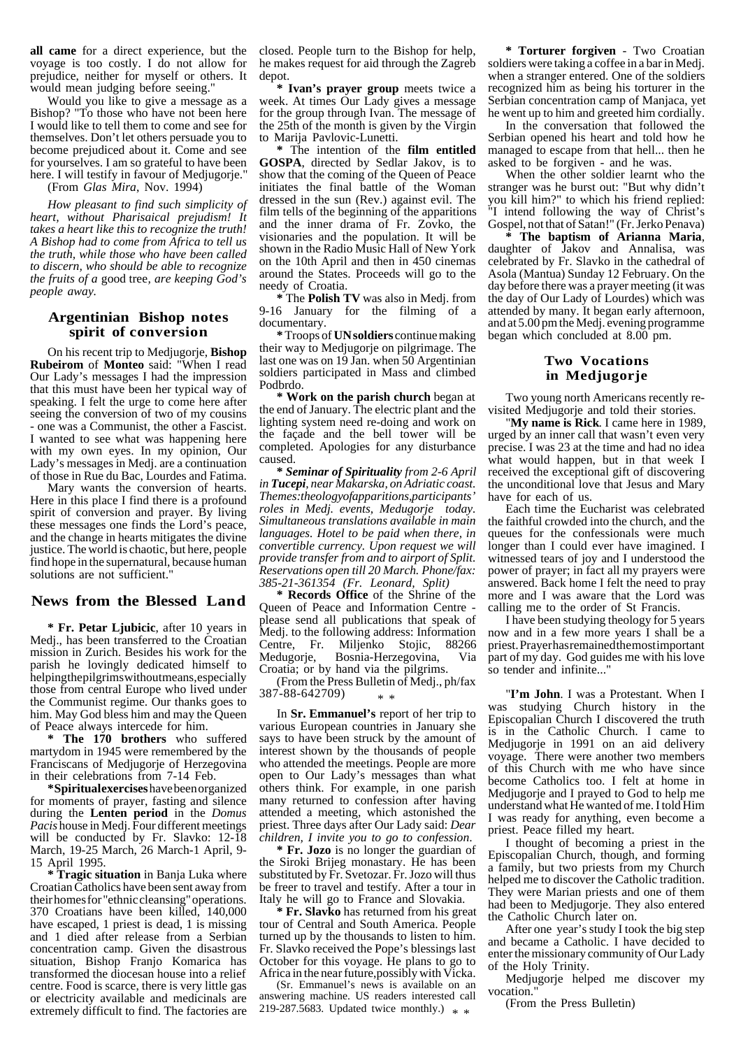**all came** for a direct experience, but the voyage is too costly. I do not allow for prejudice, neither for myself or others. It would mean judging before seeing."

Would you like to give a message as a Bishop? "To those who have not been here I would like to tell them to come and see for themselves. Don't let others persuade you to become prejudiced about it. Come and see for yourselves. I am so grateful to have been here. I will testify in favour of Mediugorie."

(From *Glas Mira*, Nov. 1994)

*How pleasant to find such simplicity of heart, without Pharisaical prejudism! It takes a heart like this to recognize the truth! A Bishop had to come from Africa to tell us the truth, while those who have been called to discern, who should be able to recognize the fruits of a* good tree*, are keeping God's people away.*

### **Argentinian Bishop notes spirit of conversion**

On his recent trip to Medjugorje, **Bishop Rubeirom** of **Monteo** said: "When I read Our Lady's messages I had the impression that this must have been her typical way of speaking. I felt the urge to come here after seeing the conversion of two of my cousins - one was a Communist, the other a Fascist. I wanted to see what was happening here with my own eyes. In my opinion, Our Lady's messages in Medj. are a continuation of those in Rue du Bac, Lourdes and Fatima.

Mary wants the conversion of hearts. Here in this place I find there is a profound spirit of conversion and prayer. By living these messages one finds the Lord's peace, and the change in hearts mitigates the divine justice. The world is chaotic, but here, people find hope in the supernatural, because human solutions are not sufficient."

### **News from the Blessed Land**

**\* Fr. Petar Ljubicic**, after 10 years in Medj., has been transferred to the Croatian mission in Zurich. Besides his work for the parish he lovingly dedicated himself to helping the pilgrims without means, especially those from central Europe who lived under the Communist regime. Our thanks goes to him. May God bless him and may the Queen of Peace always intercede for him.

**\* The 170 brothers** who suffered martydom in 1945 were remembered by the Franciscans of Medjugorje of Herzegovina in their celebrations from 7-14 Feb.

**\* Spiritual exercises** have been organized for moments of prayer, fasting and silence during the **Lenten period** in the *Domus Pacis* house in Medj. Four different meetings will be conducted by Fr. Slavko: 12-18 March, 19-25 March, 26 March-1 April, 9- 15 April 1995.

**\* Tragic situation** in Banja Luka where Croatian Catholics have been sent away from their homes for "ethnic cleansing" operations. 370 Croatians have been killed, 140,000 have escaped, 1 priest is dead, 1 is missing and 1 died after release from a Serbian concentration camp. Given the disastrous situation, Bishop Franjo Komarica has transformed the diocesan house into a relief centre. Food is scarce, there is very little gas or electricity available and medicinals are extremely difficult to find. The factories are

closed. People turn to the Bishop for help, he makes request for aid through the Zagreb depot.

**\* Ivan's prayer group** meets twice a week. At times Our Lady gives a message for the group through Ivan. The message of the 25th of the month is given by the Virgin to Marija Pavlovic-Lunetti.

**\*** The intention of the **film entitled GOSPA**, directed by Sedlar Jakov, is to show that the coming of the Queen of Peace initiates the final battle of the Woman dressed in the sun (Rev.) against evil. The film tells of the beginning of the apparitions and the inner drama of Fr. Zovko, the visionaries and the population. It will be shown in the Radio Music Hall of New York on the 10th April and then in 450 cinemas around the States. Proceeds will go to the needy of Croatia.

**\*** The **Polish TV** was also in Medj. from 9-16 January for the filming of a documentary.

**\*** Troops of **UN soldiers** continue making their way to Medjugorje on pilgrimage. The last one was on  $1\overline{9}$  Jan. when  $50$  Argentinian soldiers participated in Mass and climbed Podbrdo.

**Work on the parish church** began at the end of January. The electric plant and the lighting system need re-doing and work on the façade and the bell tower will be completed. Apologies for any disturbance caused.

**\*** *Seminar of Spirituality from 2-6 April in Tucepi, near Makarska, on Adriatic coast. Themes: theology of apparitions, participants' roles in Medj. events, Medugorje today. Simultaneous translations available in main languages. Hotel to be paid when there, in convertible currency. Upon request we will provide transfer from and to airport of Split. Reservations open till 20 March. Phone/fax: 385-21-361354 (Fr. Leonard, Split)*

**\* Records Office** of the Shrine of the Queen of Peace and Information Centre please send all publications that speak of Medj. to the following address: Information Centre, Fr. Miljenko Stojic, 88266<br>Medugorje, Bosnia-Herzegovina, Via Bosnia-Herzegovina, Croatia; or by hand via the pilgrims.

(From the Press Bulletin of Medj., ph/fax 387-88-642709) \* \*

In **Sr. Emmanuel's** report of her trip to various European countries in January she says to have been struck by the amount of interest shown by the thousands of people who attended the meetings. People are more open to Our Lady's messages than what others think. For example, in one parish many returned to confession after having attended a meeting, which astonished the priest. Three days after Our Lady said: *Dear children, I invite you to go to confession*.

**\* Fr. Jozo** is no longer the guardian of the Siroki Brijeg monastary. He has been substituted by Fr. Svetozar. Fr. Jozo will thus be freer to travel and testify. After a tour in Italy he will go to France and Slovakia.

**\* Fr. Slavko** has returned from his great tour of Central and South America. People turned up by the thousands to listen to him. Fr. Slavko received the Pope's blessings last October for this voyage. He plans to go to Africa in the near future,possibly with Vicka.

(Sr. Emmanuel's news is available on an answering machine. US readers interested call 219-287.5683. Updated twice monthly.)  $*$ 

**\* Torturer forgiven** - Two Croatian soldiers were taking a coffee in a bar in Medj. when a stranger entered. One of the soldiers recognized him as being his torturer in the Serbian concentration camp of Manjaca, yet he went up to him and greeted him cordially.

In the conversation that followed the Serbian opened his heart and told how he managed to escape from that hell... then he asked to be forgiven - and he was.

When the other soldier learnt who the stranger was he burst out: "But why didn't you kill him?" to which his friend replied: "I intend following the way of Christ's Gospel, not that of Satan!" (Fr. Jerko Penava)

**\* The baptism of Arianna Maria**, daughter of Jakov and Annalisa, was celebrated by Fr. Slavko in the cathedral of Asola (Mantua) Sunday 12 February. On the day before there was a prayer meeting (it was the day of Our Lady of Lourdes) which was attended by many. It began early afternoon, and at 5.00 pm the Medj. evening programme began which concluded at 8.00 pm.

## **Two Vocations in Medjugorje**

Two young north Americans recently revisited Medjugorje and told their stories.

"**My name is Rick**. I came here in 1989, urged by an inner call that wasn't even very precise. I was 23 at the time and had no idea what would happen, but in that week I received the exceptional gift of discovering the unconditional love that Jesus and Mary have for each of us.

Each time the Eucharist was celebrated the faithful crowded into the church, and the queues for the confessionals were much longer than I could ever have imagined. I witnessed tears of joy and I understood the power of prayer; in fact all my prayers were answered. Back home I felt the need to pray more and I was aware that the Lord was calling me to the order of St Francis.

I have been studying theology for 5 years now and in a few more years I shall be a priest. Prayer has remained the most important part of my day. God guides me with his love so tender and infinite...

"**I'm John**. I was a Protestant. When I was studying Church history in the Episcopalian Church I discovered the truth is in the Catholic Church. I came to Medjugorje in 1991 on an aid delivery voyage. There were another two members of this Church with me who have since become Catholics too. I felt at home in Medjugorje and I prayed to God to help me understand what He wanted of me. I told Him I was ready for anything, even become a priest. Peace filled my heart.

I thought of becoming a priest in the Episcopalian Church, though, and forming a family, but two priests from my Church helped me to discover the Catholic tradition. They were Marian priests and one of them had been to Medjugorje. They also entered the Catholic Church later on.

After one year's study I took the big step and became a Catholic. I have decided to enter the missionary community of Our Lady of the Holy Trinity.

Medjugorje helped me discover my vocation.

(From the Press Bulletin)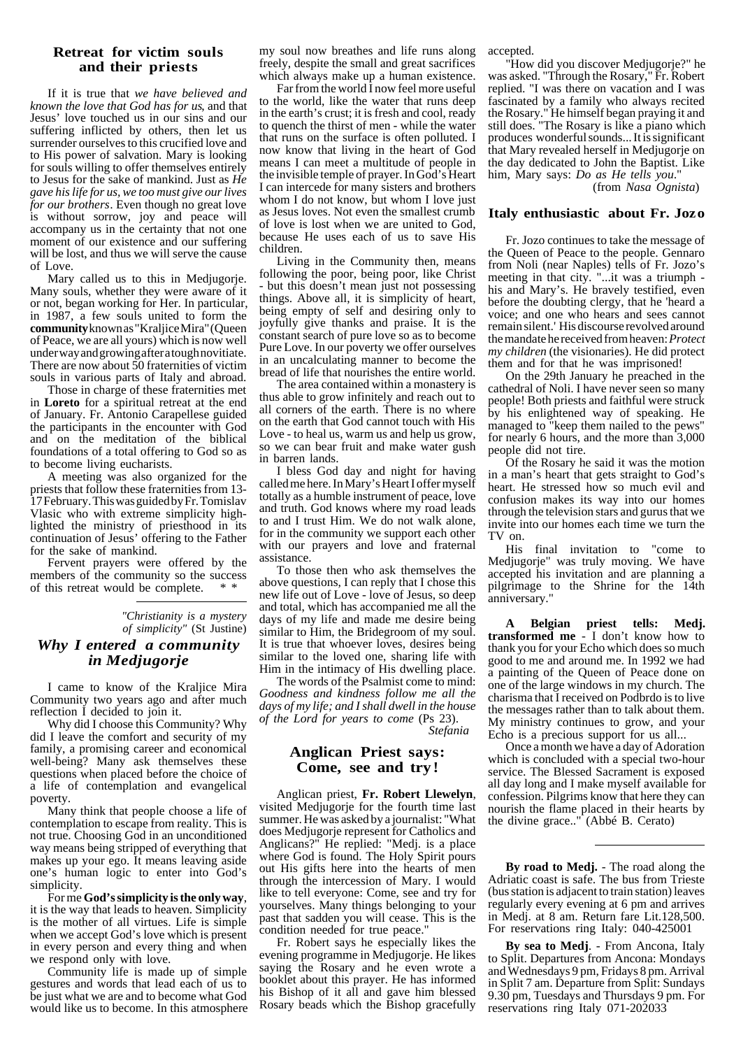## **Retreat for victim souls and their priests**

If it is true that *we have believed and known the love that God has for us*, and that Jesus' love touched us in our sins and our suffering inflicted by others, then let us surrender ourselves to this crucified love and to His power of salvation. Mary is looking for souls willing to offer themselves entirely to Jesus for the sake of mankind. Just as *He gave his life for us, we too must give our lives for our brothers*. Even though no great love is without sorrow, joy and peace will accompany us in the certainty that not one moment of our existence and our suffering will be lost, and thus we will serve the cause of Love.

Mary called us to this in Medjugorje. Many souls, whether they were aware of it or not, began working for Her. In particular, in 1987, a few souls united to form the **community** known as "Kraljice Mira" (Queen of Peace, we are all yours) which is now well under way and growing after a tough novitiate. There are now about 50 fraternities of victim souls in various parts of Italy and abroad.

Those in charge of these fraternities met in **Loreto** for a spiritual retreat at the end of January. Fr. Antonio Carapellese guided the participants in the encounter with God and on the meditation of the biblical foundations of a total offering to God so as to become living eucharists.

A meeting was also organized for the priests that follow these fraternities from 13- 17 February. This was guided by Fr. Tomislav Vlasic who with extreme simplicity highlighted the ministry of priesthood in its continuation of Jesus' offering to the Father for the sake of mankind.

Fervent prayers were offered by the members of the community so the success of this retreat would be complete.

## *"Christianity is a mystery of simplicity"* (St Justine) *Why I entered a community in Medjugorje*

I came to know of the Kraljice Mira Community two years ago and after much reflection I decided to join it.

Why did I choose this Community? Why did I leave the comfort and security of my family, a promising career and economical well-being? Many ask themselves these questions when placed before the choice of a life of contemplation and evangelical poverty.

Many think that people choose a life of contemplation to escape from reality. This is not true. Choosing God in an unconditioned way means being stripped of everything that makes up your ego. It means leaving aside one's human logic to enter into God's simplicity.

For me **God's simplicity is the only way**, it is the way that leads to heaven. Simplicity is the mother of all virtues. Life is simple when we accept God's love which is present in every person and every thing and when we respond only with love.

Community life is made up of simple gestures and words that lead each of us to be just what we are and to become what God would like us to become. In this atmosphere my soul now breathes and life runs along freely, despite the small and great sacrifices which always make up a human existence.

Far from the world  $\overline{I}$  now feel more useful to the world, like the water that runs deep in the earth's crust; it is fresh and cool, ready to quench the thirst of men - while the water that runs on the surface is often polluted. I now know that living in the heart of God means I can meet a multitude of people in the invisible temple of prayer. In God's Heart I can intercede for many sisters and brothers whom I do not know, but whom I love just as Jesus loves. Not even the smallest crumb of love is lost when we are united to God, because He uses each of us to save His children.

Living in the Community then, means following the poor, being poor, like Christ - but this doesn't mean just not possessing things. Above all, it is simplicity of heart, being empty of self and desiring only to joyfully give thanks and praise. It is the constant search of pure love so as to become Pure Love. In our poverty we offer ourselves in an uncalculating manner to become the bread of life that nourishes the entire world.

The area contained within a monastery is thus able to grow infinitely and reach out to all corners of the earth. There is no where on the earth that God cannot touch with His Love - to heal us, warm us and help us grow, so we can bear fruit and make water gush in barren lands.

I bless God day and night for having called me here. In Mary's Heart I offer myself totally as a humble instrument of peace, love and truth. God knows where my road leads to and I trust Him. We do not walk alone, for in the community we support each other with our prayers and love and fraternal assistance.

To those then who ask themselves the above questions, I can reply that I chose this new life out of Love - love of Jesus, so deep and total, which has accompanied me all the days of my life and made me desire being similar to Him, the Bridegroom of my soul. It is true that whoever loves, desires being similar to the loved one, sharing life with Him in the intimacy of His dwelling place.

The words of the Psalmist come to mind: *Goodness and kindness follow me all the days of my life; and I shall dwell in the house of the Lord for years to come* (Ps 23).  *Stefania*

# **Anglican Priest says: Come, see and try!**

Anglican priest, **Fr. Robert Llewelyn**, visited Medjugorje for the fourth time last summer. He was asked by a journalist: "What does Medjugorje represent for Catholics and Anglicans?" He replied: "Medj. is a place where God is found. The Holy Spirit pours out His gifts here into the hearts of men through the intercession of Mary. I would like to tell everyone: Come, see and try for yourselves. Many things belonging to your past that sadden you will cease. This is the condition needed for true peace."

Fr. Robert says he especially likes the evening programme in Medjugorje. He likes saying the Rosary and he even wrote a booklet about this prayer. He has informed his Bishop of it all and gave him blessed Rosary beads which the Bishop gracefully

accepted.

"How did you discover Medjugorje?" he was asked. "Through the Rosary," Fr. Robert replied. "I was there on vacation and I was fascinated by a family who always recited the Rosary." He himself began praying it and still does. "The Rosary is like a piano which produces wonderful sounds... It is significant that Mary revealed herself in Medjugorje on the day dedicated to John the Baptist. Like him, Mary says: *Do as He tells you*." (from *Nasa Ognista*)

## **Italy enthusiastic about Fr. Jozo**

Fr. Jozo continues to take the message of the Queen of Peace to the people. Gennaro from Noli (near Naples) tells of Fr. Jozo's meeting in that city. "...it was a triumph his and Mary's. He bravely testified, even before the doubting clergy, that he 'heard a voice; and one who hears and sees cannot remain silent.' His discourse revolved around the mandate he received from heaven: *Protect my children* (the visionaries). He did protect them and for that he was imprisoned!

On the 29th January he preached in the cathedral of Noli. I have never seen so many people! Both priests and faithful were struck by his enlightened way of speaking. He managed to "keep them nailed to the pews" for nearly 6 hours, and the more than 3,000 people did not tire.

Of the Rosary he said it was the motion in a man's heart that gets straight to God's heart. He stressed how so much evil and confusion makes its way into our homes through the television stars and gurus that we invite into our homes each time we turn the TV on.

His final invitation to "come to Medjugorje" was truly moving. We have accepted his invitation and are planning a pilgrimage to the Shrine for the 14th anniversary."

**A Belgian priest tells: Medj. transformed me** - I don't know how to thank you for your Echo which does so much good to me and around me. In 1992 we had a painting of the Queen of Peace done on one of the large windows in my church. The charisma that I received on Podbrdo is to live the messages rather than to talk about them. My ministry continues to grow, and your Echo is a precious support for us all...

Once a month we have a day of Adoration which is concluded with a special two-hour service. The Blessed Sacrament is exposed all day long and I make myself available for confession. Pilgrims know that here they can nourish the flame placed in their hearts by the divine grace.." (Abbé B. Cerato)

**By road to Medj.** - The road along the Adriatic coast is safe. The bus from Trieste (bus station is adjacent to train station) leaves regularly every evening at 6 pm and arrives in Medj. at 8 am. Return fare Lit.128,500. For reservations ring Italy: 040-425001

**By sea to Medj**. - From Ancona, Italy to Split. Departures from Ancona: Mondays and Wednesdays 9 pm, Fridays 8 pm. Arrival in Split 7 am. Departure from Split: Sundays 9.30 pm, Tuesdays and Thursdays 9 pm. For reservations ring Italy 071-202033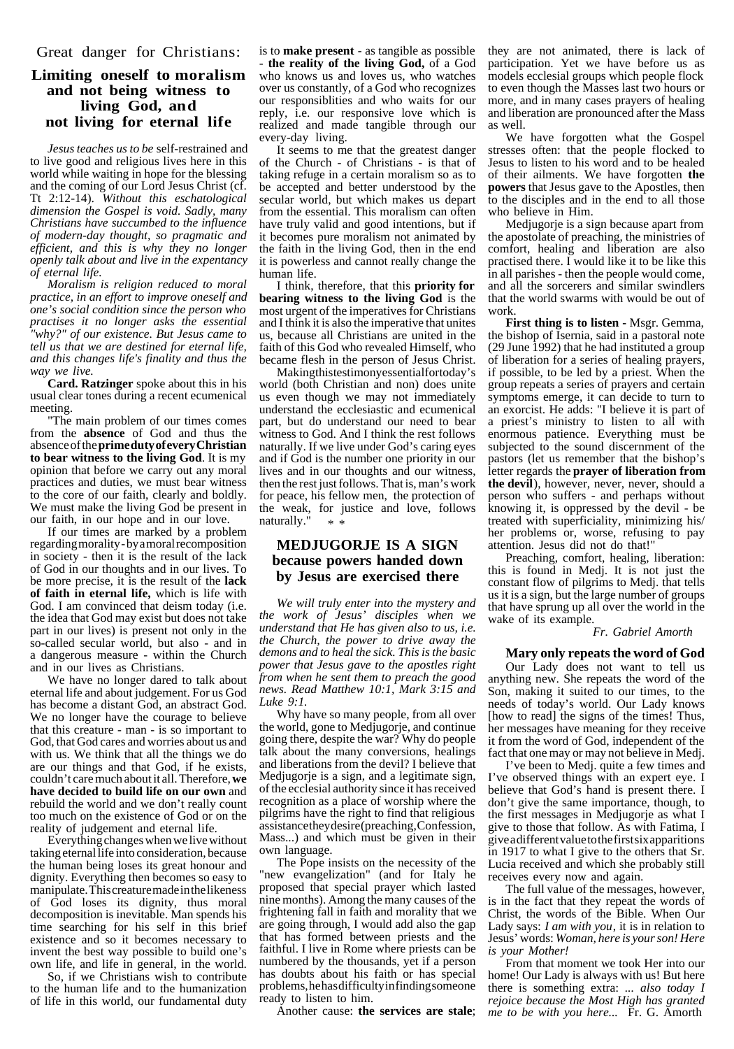# **Limiting oneself to moralism and not being witness to living God, and not living for eternal life**

*Jesus teaches us to be* self-restrained and to live good and religious lives here in this world while waiting in hope for the blessing and the coming of our Lord Jesus Christ (cf. Tt 2:12-14). *Without this eschatological dimension the Gospel is void. Sadly, many Christians have succumbed to the influence of modern-day thought, so pragmatic and efficient, and this is why they no longer openly talk about and live in the expentancy of eternal life.*

*Moralism is religion reduced to moral practice, in an effort to improve oneself and one's social condition since the person who practises it no longer asks the essential "why?" of our existence. But Jesus came to tell us that we are destined for eternal life, and this changes life's finality and thus the way we live.*

**Card. Ratzinger** spoke about this in his usual clear tones during a recent ecumenical meeting.

"The main problem of our times comes from the **absence** of God and thus the absence of the **prime duty of every Christian to bear witness to the living God**. It is my opinion that before we carry out any moral practices and duties, we must bear witness to the core of our faith, clearly and boldly. We must make the living God be present in our faith, in our hope and in our love.

If our times are marked by a problem regarding morality - by a moral recomposition in society - then it is the result of the lack of God in our thoughts and in our lives. To be more precise, it is the result of the **lack of faith in eternal life,** which is life with God. I am convinced that deism today (i.e. the idea that God may exist but does not take part in our lives) is present not only in the so-called secular world, but also - and in a dangerous measure - within the Church and in our lives as Christians.

We have no longer dared to talk about eternal life and about judgement. For us God has become a distant God, an abstract God. We no longer have the courage to believe that this creature - man - is so important to God, that God cares and worries about us and with us. We think that all the things we do are our things and that God, if he exists, couldn't care much about it all. Therefore, **we have decided to build life on our own** and rebuild the world and we don't really count too much on the existence of God or on the reality of judgement and eternal life.

Everything changes when we live without taking eternal life into consideration, because the human being loses its great honour and dignity. Everything then becomes so easy to manipulate. This creature made in the likeness of God loses its dignity, thus moral decomposition is inevitable. Man spends his time searching for his self in this brief existence and so it becomes necessary to invent the best way possible to build one's own life, and life in general, in the world.

So, if we Christians wish to contribute to the human life and to the humanization of life in this world, our fundamental duty

is to **make present** - as tangible as possible - **the reality of the living God,** of a God who knows us and loves us, who watches over us constantly, of a God who recognizes our responsiblities and who waits for our reply, i.e. our responsive love which is realized and made tangible through our every-day living.

It seems to me that the greatest danger of the Church - of Christians - is that of taking refuge in a certain moralism so as to be accepted and better understood by the secular world, but which makes us depart from the essential. This moralism can often have truly valid and good intentions, but if it becomes pure moralism not animated by the faith in the living God, then in the end it is powerless and cannot really change the human life.

I think, therefore, that this **priority for bearing witness to the living God** is the most urgent of the imperatives for Christians and I think it is also the imperative that unites us, because all Christians are united in the faith of this God who revealed Himself, who became flesh in the person of Jesus Christ.

Making this test imony essential for today's world (both Christian and non) does unite us even though we may not immediately understand the ecclesiastic and ecumenical part, but do understand our need to bear witness to God. And I think the rest follows naturally. If we live under God's caring eyes and if God is the number one priority in our lives and in our thoughts and our witness, then the rest just follows. That is, man's work for peace, his fellow men, the protection of the weak, for justice and love, follows naturally." \* \*

# **MEDJUGORJE IS A SIGN because powers handed down by Jesus are exercised there**

*We will truly enter into the mystery and the work of Jesus' disciples when we understand that He has given also to us, i.e. the Church, the power to drive away the demons and to heal the sick. This is the basic power that Jesus gave to the apostles right from when he sent them to preach the good news. Read Matthew 10:1, Mark 3:15 and Luke 9:1.*

Why have so many people, from all over the world, gone to Medjugorje, and continue going there, despite the war? Why do people talk about the many conversions, healings and liberations from the devil? I believe that Medjugorje is a sign, and a legitimate sign, of the ecclesial authority since it has received recognition as a place of worship where the pilgrims have the right to find that religious assistance they desire (preaching, Confession, Mass...) and which must be given in their own language.

The Pope insists on the necessity of the "new evangelization" (and for Italy he proposed that special prayer which lasted nine months). Among the many causes of the frightening fall in faith and morality that we are going through, I would add also the gap that has formed between priests and the faithful. I live in Rome where priests can be numbered by the thousands, yet if a person has doubts about his faith or has special problems, he has difficulty in finding someone ready to listen to him.

Another cause: **the services are stale**;

they are not animated, there is lack of participation. Yet we have before us as models ecclesial groups which people flock to even though the Masses last two hours or more, and in many cases prayers of healing and liberation are pronounced after the Mass as well.

We have forgotten what the Gospel stresses often: that the people flocked to Jesus to listen to his word and to be healed of their ailments. We have forgotten **the powers** that Jesus gave to the Apostles, then to the disciples and in the end to all those who believe in Him.

Medjugorje is a sign because apart from the apostolate of preaching, the ministries of comfort, healing and liberation are also practised there. I would like it to be like this in all parishes - then the people would come, and all the sorcerers and similar swindlers that the world swarms with would be out of work.

**First thing is to listen -** Msgr. Gemma, the bishop of Isernia, said in a pastoral note (29 June  $\overline{1}$ 992) that he had instituted a group of liberation for a series of healing prayers, if possible, to be led by a priest. When the group repeats a series of prayers and certain symptoms emerge, it can decide to turn to an exorcist. He adds: "I believe it is part of a priest's ministry to listen to all with enormous patience. Everything must be subjected to the sound discernment of the pastors (let us remember that the bishop's letter regards the **prayer of liberation from the devil**), however, never, never, should a person who suffers - and perhaps without knowing it, is oppressed by the devil - be treated with superficiality, minimizing his/ her problems or, worse, refusing to pay attention. Jesus did not do that!"

Preaching, comfort, healing, liberation: this is found in Medj. It is not just the constant flow of pilgrims to Medj. that tells us it is a sign, but the large number of groups that have sprung up all over the world in the wake of its example.

### *Fr. Gabriel Amorth*

**Mary only repeats the word of God** Our Lady does not want to tell us anything new. She repeats the word of the Son, making it suited to our times, to the needs of today's world. Our Lady knows [how to read] the signs of the times! Thus, her messages have meaning for they receive it from the word of God, independent of the fact that one may or may not believe in Medj.

I've been to Medj. quite a few times and I've observed things with an expert eye. I believe that God's hand is present there. I don't give the same importance, though, to the first messages in Medjugorje as what I give to those that follow. As with Fatima, I give a different value to the first six apparitions in 1917 to what I give to the others that Sr. Lucia received and which she probably still receives every now and again.

The full value of the messages, however, is in the fact that they repeat the words of Christ, the words of the Bible. When Our Lady says: *I am with you*, it is in relation to Jesus' words: *Woman, here is your son! Here is your Mother!*

From that moment we took Her into our home! Our Lady is always with us! But here there is something extra: *... also today I rejoice because the Most High has granted me to be with you here...* Fr. G. Amorth